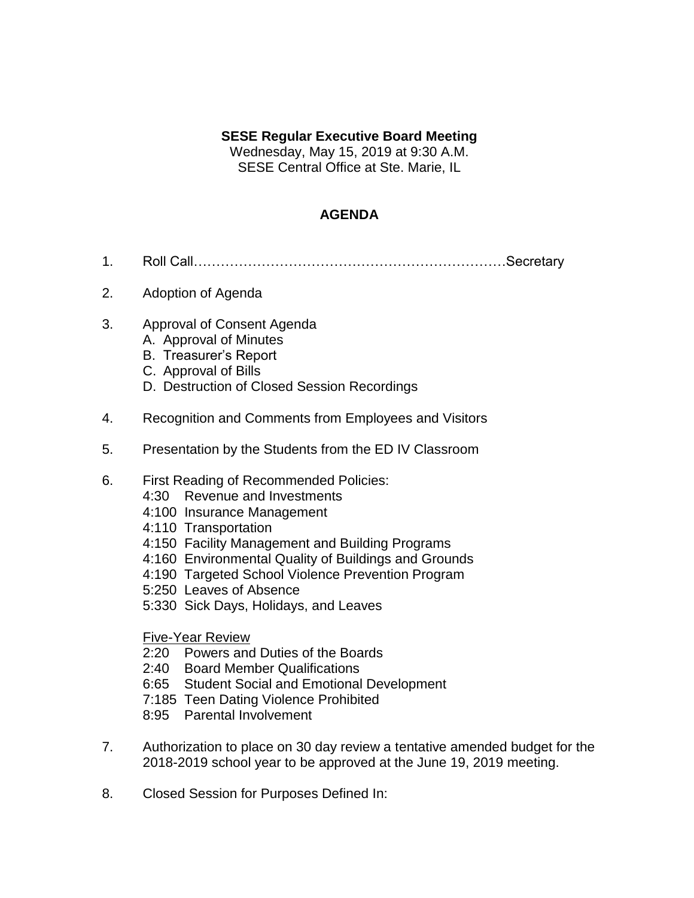## **SESE Regular Executive Board Meeting**

Wednesday, May 15, 2019 at 9:30 A.M. SESE Central Office at Ste. Marie, IL

## **AGENDA**

- 1. Roll Call……………………………………………………………Secretary
- 2. Adoption of Agenda
- 3. Approval of Consent Agenda
	- A. Approval of Minutes
	- B. Treasurer's Report
	- C. Approval of Bills
	- D. Destruction of Closed Session Recordings
- 4. Recognition and Comments from Employees and Visitors
- 5. Presentation by the Students from the ED IV Classroom
- 6. First Reading of Recommended Policies:
	- 4:30 Revenue and Investments
	- 4:100 Insurance Management
	- 4:110 Transportation
	- 4:150 Facility Management and Building Programs
	- 4:160 Environmental Quality of Buildings and Grounds
	- 4:190 Targeted School Violence Prevention Program
	- 5:250 Leaves of Absence
	- 5:330 Sick Days, Holidays, and Leaves

Five-Year Review

- 2:20 Powers and Duties of the Boards
- 2:40 Board Member Qualifications
- 6:65 Student Social and Emotional Development
- 7:185 Teen Dating Violence Prohibited
- 8:95 Parental Involvement
- 7. Authorization to place on 30 day review a tentative amended budget for the 2018-2019 school year to be approved at the June 19, 2019 meeting.
- 8. Closed Session for Purposes Defined In: